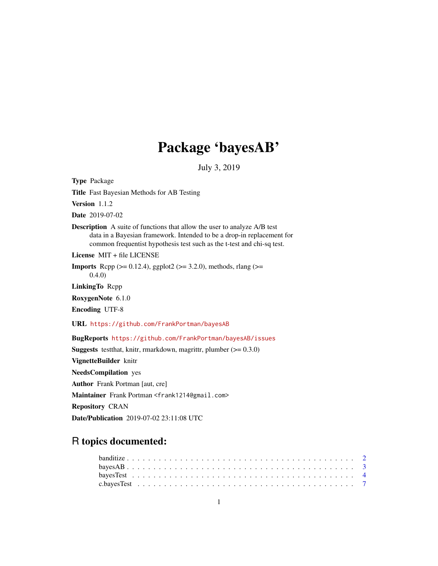# Package 'bayesAB'

July 3, 2019

Type Package Title Fast Bayesian Methods for AB Testing Version 1.1.2 Date 2019-07-02 Description A suite of functions that allow the user to analyze A/B test data in a Bayesian framework. Intended to be a drop-in replacement for common frequentist hypothesis test such as the t-test and chi-sq test. License MIT + file LICENSE **Imports** Rcpp ( $>= 0.12.4$ ), ggplot2 ( $>= 3.2.0$ ), methods, rlang ( $>=$ 0.4.0) LinkingTo Rcpp RoxygenNote 6.1.0 Encoding UTF-8 URL <https://github.com/FrankPortman/bayesAB> BugReports <https://github.com/FrankPortman/bayesAB/issues> **Suggests** testthat, knitr, rmarkdown, magrittr, plumber  $(>= 0.3.0)$ VignetteBuilder knitr NeedsCompilation yes Author Frank Portman [aut, cre] Maintainer Frank Portman <frank1214@gmail.com> Repository CRAN Date/Publication 2019-07-02 23:11:08 UTC

## R topics documented: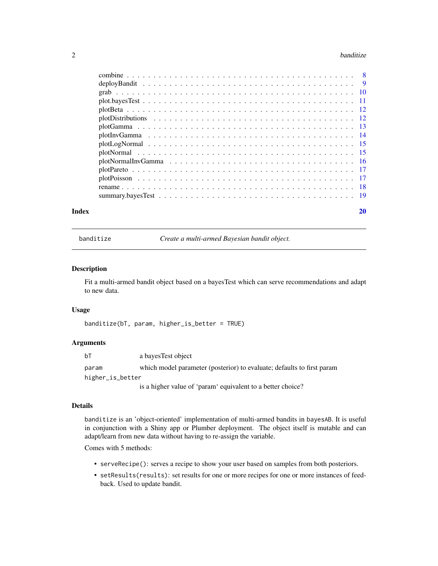#### <span id="page-1-0"></span>2 banditize banditize banditize banditize banditize banditize banditize banditize banditize banditize banditize

| Index | 20 |
|-------|----|

<span id="page-1-1"></span>banditize *Create a multi-armed Bayesian bandit object.*

#### Description

Fit a multi-armed bandit object based on a bayesTest which can serve recommendations and adapt to new data.

#### Usage

banditize(bT, param, higher\_is\_better = TRUE)

#### Arguments

| bT               | a bayes Test object                                                    |
|------------------|------------------------------------------------------------------------|
| param            | which model parameter (posterior) to evaluate; defaults to first param |
| higher_is_better |                                                                        |
|                  | is a higher value of 'param' equivalent to a better choice?            |

#### Details

banditize is an 'object-oriented' implementation of multi-armed bandits in bayesAB. It is useful in conjunction with a Shiny app or Plumber deployment. The object itself is mutable and can adapt/learn from new data without having to re-assign the variable.

Comes with 5 methods:

- serveRecipe(): serves a recipe to show your user based on samples from both posteriors.
- setResults(results): set results for one or more recipes for one or more instances of feedback. Used to update bandit.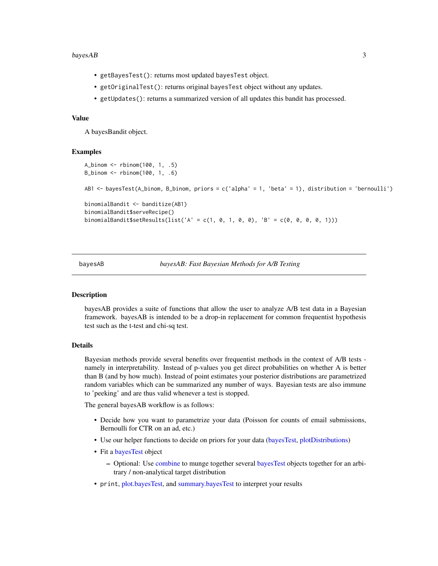#### <span id="page-2-0"></span> $bayesAB$  3

- getBayesTest(): returns most updated bayesTest object.
- getOriginalTest(): returns original bayesTest object without any updates.
- getUpdates(): returns a summarized version of all updates this bandit has processed.

#### Value

A bayesBandit object.

#### Examples

```
A_binom <- rbinom(100, 1, .5)
B_binom <- rbinom(100, 1, .6)
AB1 <- bayesTest(A_binom, B_binom, priors = c('alpha' = 1, 'beta' = 1), distribution = 'bernoulli')
binomialBandit <- banditize(AB1)
binomialBandit$serveRecipe()
binomialBandit$setResults(list('A' = c(1, 0, 1, 0, 0), 'B' = c(0, 0, 0, 0, 1)))
```
bayesAB *bayesAB: Fast Bayesian Methods for A/B Testing*

#### Description

bayesAB provides a suite of functions that allow the user to analyze A/B test data in a Bayesian framework. bayesAB is intended to be a drop-in replacement for common frequentist hypothesis test such as the t-test and chi-sq test.

#### Details

Bayesian methods provide several benefits over frequentist methods in the context of A/B tests namely in interpretability. Instead of p-values you get direct probabilities on whether A is better than B (and by how much). Instead of point estimates your posterior distributions are parametrized random variables which can be summarized any number of ways. Bayesian tests are also immune to 'peeking' and are thus valid whenever a test is stopped.

The general bayesAB workflow is as follows:

- Decide how you want to parametrize your data (Poisson for counts of email submissions, Bernoulli for CTR on an ad, etc.)
- Use our helper functions to decide on priors for your data [\(bayesTest,](#page-3-1) [plotDistributions\)](#page-11-1)
- Fit a [bayesTest](#page-3-1) object
	- Optional: Use [combine](#page-7-1) to munge together several [bayesTest](#page-3-1) objects together for an arbitrary / non-analytical target distribution
- print, [plot.bayesTest,](#page-10-1) and [summary.bayesTest](#page-18-1) to interpret your results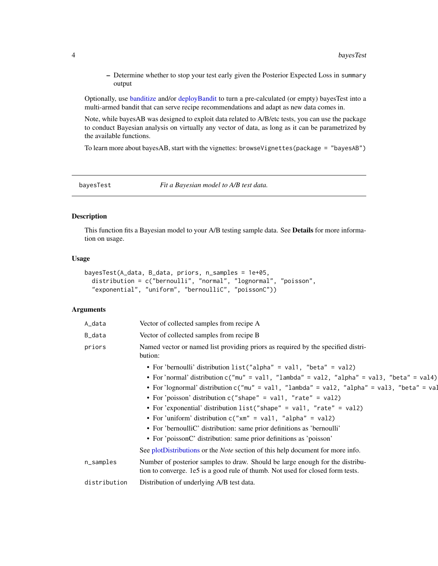<span id="page-3-0"></span>– Determine whether to stop your test early given the Posterior Expected Loss in summary output

Optionally, use [banditize](#page-1-1) and/or [deployBandit](#page-8-1) to turn a pre-calculated (or empty) bayesTest into a multi-armed bandit that can serve recipe recommendations and adapt as new data comes in.

Note, while bayesAB was designed to exploit data related to A/B/etc tests, you can use the package to conduct Bayesian analysis on virtually any vector of data, as long as it can be parametrized by the available functions.

To learn more about bayesAB, start with the vignettes: browseVignettes(package = "bayesAB")

<span id="page-3-1"></span>bayesTest *Fit a Bayesian model to A/B test data.*

#### Description

This function fits a Bayesian model to your A/B testing sample data. See Details for more information on usage.

#### Usage

```
bayesTest(A_data, B_data, priors, n_samples = 1e+05,
 distribution = c("bernoulli", "normal", "lognormal", "poisson",
  "exponential", "uniform", "bernoulliC", "poissonC"))
```
#### Arguments

| A_data       | Vector of collected samples from recipe A                                                                                                                                                                                                                                                                                                                                                                                                                                                                                                                                                                                    |
|--------------|------------------------------------------------------------------------------------------------------------------------------------------------------------------------------------------------------------------------------------------------------------------------------------------------------------------------------------------------------------------------------------------------------------------------------------------------------------------------------------------------------------------------------------------------------------------------------------------------------------------------------|
| B_data       | Vector of collected samples from recipe B                                                                                                                                                                                                                                                                                                                                                                                                                                                                                                                                                                                    |
| priors       | Named vector or named list providing priors as required by the specified distri-<br>bution:                                                                                                                                                                                                                                                                                                                                                                                                                                                                                                                                  |
|              | • For 'bernoulli' distribution list("alpha" = val1, "beta" = val2)<br>• For 'normal' distribution c("mu" = val1, "lambda" = val2, "alpha" = val3, "beta" = val4)<br>• For 'lognormal' distribution c("mu" = val1, "lambda" = val2, "alpha" = val3, "beta" = val<br>• For 'poisson' distribution $c$ ("shape" = val1, "rate" = val2)<br>• For 'exponential' distribution list("shape" = val1, "rate" = val2)<br>• For 'uniform' distribution $c("xm" = val1, "alpha" = val2)$<br>• For 'bernoulliC' distribution: same prior definitions as 'bernoulli'<br>• For 'poissonC' distribution: same prior definitions as 'poisson' |
|              | See plotDistributions or the <i>Note</i> section of this help document for more info.                                                                                                                                                                                                                                                                                                                                                                                                                                                                                                                                        |
| n_samples    | Number of posterior samples to draw. Should be large enough for the distribu-<br>tion to converge. 1e5 is a good rule of thumb. Not used for closed form tests.                                                                                                                                                                                                                                                                                                                                                                                                                                                              |
| distribution | Distribution of underlying A/B test data.                                                                                                                                                                                                                                                                                                                                                                                                                                                                                                                                                                                    |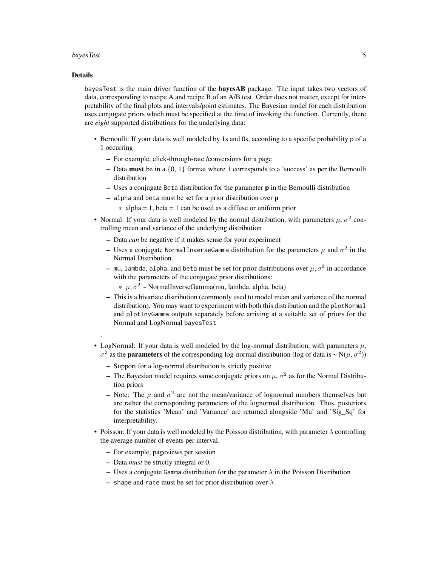#### bayesTest 5

#### Details

.

bayesTest is the main driver function of the **bayesAB** package. The input takes two vectors of data, corresponding to recipe A and recipe B of an A/B test. Order does not matter, except for interpretability of the final plots and intervals/point estimates. The Bayesian model for each distribution uses conjugate priors which must be specified at the time of invoking the function. Currently, there are *eight* supported distributions for the underlying data:

- Bernoulli: If your data is well modeled by 1s and 0s, according to a specific probability p of a 1 occurring
	- For example, click-through-rate /conversions for a page
	- Data must be in a {0, 1} format where 1 corresponds to a 'success' as per the Bernoulli distribution
	- $-$  Uses a conjugate Beta distribution for the parameter  $\bf{p}$  in the Bernoulli distribution
	- $-$  alpha and beta must be set for a prior distribution over  $\bf{p}$ 
		- $*$  alpha = 1, beta = 1 can be used as a diffuse or uniform prior
- Normal: If your data is well modeled by the normal distribution, with parameters  $\mu$ ,  $\sigma^2$  controlling mean and variance of the underlying distribution
	- Data *can* be negative if it makes sense for your experiment
	- Uses a conjugate NormalInverseGamma distribution for the parameters  $\mu$  and  $\sigma^2$  in the Normal Distribution.
	- $-$  mu, lambda, alpha, and beta must be set for prior distributions over  $\mu, \sigma^2$  in accordance with the parameters of the conjugate prior distributions:
		- $*\mu, \sigma^2$  ~ NormalInverseGamma(mu, lambda, alpha, beta)
	- This is a bivariate distribution (commonly used to model mean and variance of the normal distribution). You may want to experiment with both this distribution and the plotNormal and plotInvGamma outputs separately before arriving at a suitable set of priors for the Normal and LogNormal bayesTest
- LogNormal: If your data is well modeled by the log-normal distribution, with parameters  $\mu$ ,  $\sigma^2$  as the **parameters** of the corresponding log-normal distribution (log of data is  $\sim N(\mu, \sigma^2)$ )
	- Support for a log-normal distribution is strictly positive
	- The Bayesian model requires same conjugate priors on  $\mu$ ,  $\sigma^2$  as for the Normal Distribution priors
	- Note: The  $\mu$  and  $\sigma^2$  are not the mean/variance of lognormal numbers themselves but are rather the corresponding parameters of the lognormal distribution. Thus, posteriors for the statistics 'Mean' and 'Variance' are returned alongside 'Mu' and 'Sig\_Sq' for interpretability.
- Poisson: If your data is well modeled by the Poisson distribution, with parameter  $\lambda$  controlling the average number of events per interval.
	- For example, pageviews per session
	- Data *must* be strictly integral or 0.
	- Uses a conjugate Gamma distribution for the parameter  $\lambda$  in the Poisson Distribution
	- shape and rate must be set for prior distribution over  $\lambda$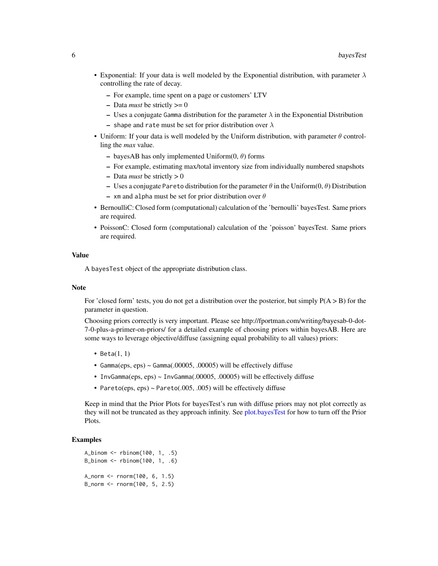- <span id="page-5-0"></span>• Exponential: If your data is well modeled by the Exponential distribution, with parameter  $\lambda$ controlling the rate of decay.
	- For example, time spent on a page or customers' LTV
	- $-$  Data *must* be strictly  $>= 0$
	- Uses a conjugate Gamma distribution for the parameter  $\lambda$  in the Exponential Distribution
	- shape and rate must be set for prior distribution over  $\lambda$
- Uniform: If your data is well modeled by the Uniform distribution, with parameter  $\theta$  controlling the *max* value.
	- bayesAB has only implemented Uniform $(0, \theta)$  forms
	- For example, estimating max/total inventory size from individually numbered snapshots
	- $-$  Data *must* be strictly  $> 0$
	- Uses a conjugate Pareto distribution for the parameter  $\theta$  in the Uniform $(0, \theta)$  Distribution
	- xm and alpha must be set for prior distribution over  $\theta$
- BernoulliC: Closed form (computational) calculation of the 'bernoulli' bayesTest. Same priors are required.
- PoissonC: Closed form (computational) calculation of the 'poisson' bayesTest. Same priors are required.

#### Value

A bayesTest object of the appropriate distribution class.

#### **Note**

For 'closed form' tests, you do not get a distribution over the posterior, but simply  $P(A > B)$  for the parameter in question.

Choosing priors correctly is very important. Please see http://fportman.com/writing/bayesab-0-dot-7-0-plus-a-primer-on-priors/ for a detailed example of choosing priors within bayesAB. Here are some ways to leverage objective/diffuse (assigning equal probability to all values) priors:

- Beta $(1, 1)$
- Gamma(eps, eps) ~ Gamma(.00005, .00005) will be effectively diffuse
- InvGamma(eps, eps) ~ InvGamma(.00005, .00005) will be effectively diffuse
- Pareto(eps, eps) ~ Pareto(.005, .005) will be effectively diffuse

Keep in mind that the Prior Plots for bayesTest's run with diffuse priors may not plot correctly as they will not be truncated as they approach infinity. See [plot.bayesTest](#page-10-1) for how to turn off the Prior Plots.

#### Examples

```
A_binom <- rbinom(100, 1, .5)
B_binom <- rbinom(100, 1, .6)
A_norm <- rnorm(100, 6, 1.5)
B_norm <- rnorm(100, 5, 2.5)
```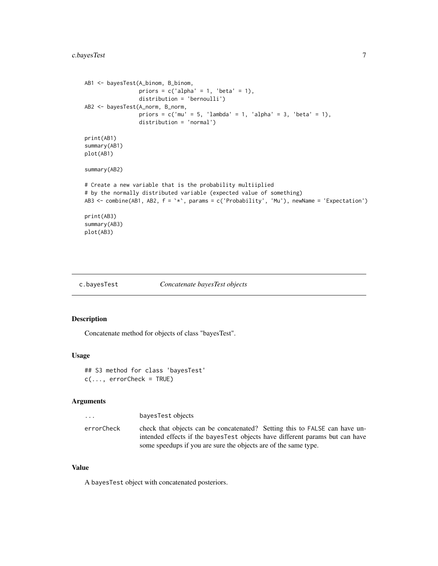#### <span id="page-6-0"></span>c.bayesTest 7

```
AB1 <- bayesTest(A_binom, B_binom,
                 priors = c('alpha' = 1, 'beta' = 1),distribution = 'bernoulli')
AB2 <- bayesTest(A_norm, B_norm,
                 priors = c('mu' = 5, 'lambda' = 1, 'alpha' = 3, 'beta' = 1),distribution = 'normal')
print(AB1)
summary(AB1)
plot(AB1)
summary(AB2)
# Create a new variable that is the probability multiiplied
# by the normally distributed variable (expected value of something)
AB3 \le combine(AB1, AB2, f = \dot{x}, params = c('Probability', 'Mu'), newName = 'Expectation')
print(AB3)
summary(AB3)
plot(AB3)
```

```
c.bayesTest Concatenate bayesTest objects
```
#### Description

Concatenate method for objects of class "bayesTest".

#### Usage

```
## S3 method for class 'bayesTest'
c(\ldots, errorCheck = TRUE)
```
#### Arguments

| bayesTest objects<br>$\cdots$                                                                                                                                                                                                                |  |
|----------------------------------------------------------------------------------------------------------------------------------------------------------------------------------------------------------------------------------------------|--|
| check that objects can be concatenated? Setting this to FALSE can have un-<br>errorCheck<br>intended effects if the bayes Test objects have different params but can have<br>some speedups if you are sure the objects are of the same type. |  |

#### Value

A bayesTest object with concatenated posteriors.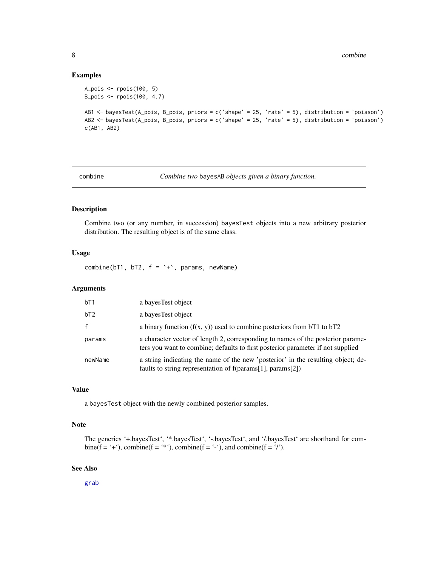#### Examples

```
A_pois <- rpois(100, 5)
B_pois <- rpois(100, 4.7)
AB1 <- bayesTest(A_pois, B_pois, priors = c('shape' = 25, 'rate' = 5), distribution = 'poisson')
AB2 <- bayesTest(A_pois, B_pois, priors = c('shape' = 25, 'rate' = 5), distribution = 'poisson')
c(AB1, AB2)
```
<span id="page-7-1"></span>combine *Combine two* bayesAB *objects given a binary function.*

#### Description

Combine two (or any number, in succession) bayesTest objects into a new arbitrary posterior distribution. The resulting object is of the same class.

#### Usage

combine( $bT1$ ,  $bT2$ ,  $f = '+'$ , params, newName)

#### Arguments

| bT1     | a bayes Test object                                                                                                                                                |
|---------|--------------------------------------------------------------------------------------------------------------------------------------------------------------------|
| bT2     | a bayes Test object                                                                                                                                                |
|         | a binary function $(f(x, y))$ used to combine posteriors from bT1 to bT2                                                                                           |
| params  | a character vector of length 2, corresponding to names of the posterior parame-<br>ters you want to combine; defaults to first posterior parameter if not supplied |
| newName | a string indicating the name of the new 'posterior' in the resulting object; de-<br>faults to string representation of $f$ (params[1], params[2])                  |

#### Value

a bayesTest object with the newly combined posterior samples.

#### Note

```
The generics '+.bayesTest', '*.bayesTest', '-.bayesTest', and '/.bayesTest' are shorthand for com-
bine(f = '+'), combine(f = '*'), combine(f = '-'), and combine(f = '/').
```
#### See Also

[grab](#page-9-1)

<span id="page-7-0"></span>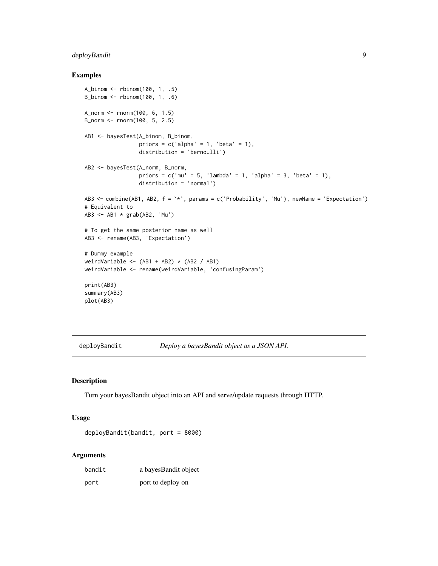#### <span id="page-8-0"></span>deployBandit 9

#### Examples

```
A_binom <- rbinom(100, 1, .5)
B_binom <- rbinom(100, 1, .6)
A_norm <- rnorm(100, 6, 1.5)
B_norm <- rnorm(100, 5, 2.5)
AB1 <- bayesTest(A_binom, B_binom,
                 priors = c('alpha' = 1, 'beta' = 1),distribution = 'bernoulli')
AB2 <- bayesTest(A_norm, B_norm,
                 priors = c('mu' = 5, 'lambda' = 1, 'alpha' = 3, 'beta' = 1),distribution = 'normal')
AB3 <- combine(AB1, AB2, f = `*`, params = c('Probability', 'Mu'), newName = 'Expectation')
# Equivalent to
AB3 <- AB1 * grab(AB2, 'Mu')
# To get the same posterior name as well
AB3 <- rename(AB3, 'Expectation')
# Dummy example
weirdVariable <- (AB1 + AB2) * (AB2 / AB1)weirdVariable <- rename(weirdVariable, 'confusingParam')
print(AB3)
summary(AB3)
plot(AB3)
```

```
deployBandit Deploy a bayesBandit object as a JSON API.
```
#### Description

Turn your bayesBandit object into an API and serve/update requests through HTTP.

#### Usage

deployBandit(bandit, port = 8000)

#### Arguments

| bandit | a bayes Bandit object |
|--------|-----------------------|
| port   | port to deploy on     |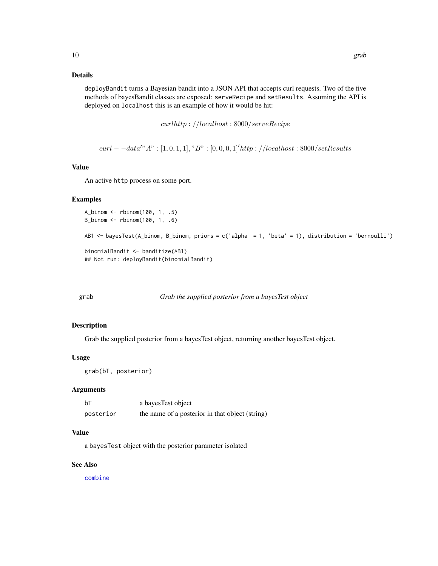#### <span id="page-9-0"></span>Details

deployBandit turns a Bayesian bandit into a JSON API that accepts curl requests. Two of the five methods of bayesBandit classes are exposed: serveRecipe and setResults. Assuming the API is deployed on localhost this is an example of how it would be hit:

curlhttp : //localhost : 8000/serveRecipe

 $curl - -data''$   $A" : [1, 0, 1, 1], "B" : [0, 0, 0, 1]'$ http : //localhost : 8000/setResults

#### Value

An active http process on some port.

#### Examples

```
A_binom <- rbinom(100, 1, .5)
B_binom <- rbinom(100, 1, .6)
AB1 <- bayesTest(A_binom, B_binom, priors = c('alpha' = 1, 'beta' = 1), distribution = 'bernoulli')
binomialBandit <- banditize(AB1)
## Not run: deployBandit(binomialBandit)
```
#### <span id="page-9-1"></span>grab *Grab the supplied posterior from a bayesTest object*

#### Description

Grab the supplied posterior from a bayesTest object, returning another bayesTest object.

#### Usage

```
grab(bT, posterior)
```
#### Arguments

| bT        | a bayes Test object                             |
|-----------|-------------------------------------------------|
| posterior | the name of a posterior in that object (string) |

#### Value

a bayesTest object with the posterior parameter isolated

#### See Also

[combine](#page-7-1)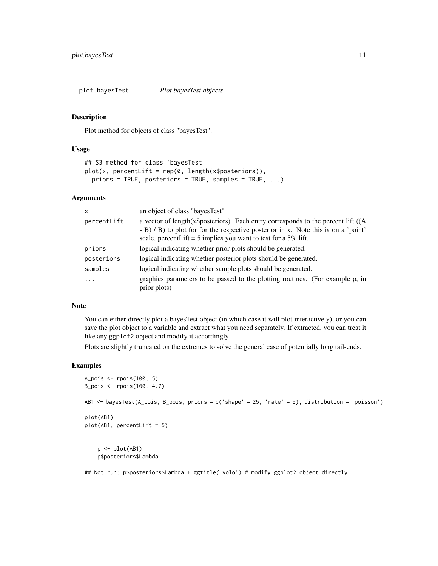<span id="page-10-1"></span><span id="page-10-0"></span>plot.bayesTest *Plot bayesTest objects*

#### Description

Plot method for objects of class "bayesTest".

#### Usage

```
## S3 method for class 'bayesTest'
plot(x, percentLife = rep(0, length(x$posteriors)),priors = TRUE, posteriors = TRUE, samples = TRUE, ...)
```
#### Arguments

| $\boldsymbol{\mathsf{x}}$ | an object of class "bayesTest"                                                                                                                                                                                                                   |
|---------------------------|--------------------------------------------------------------------------------------------------------------------------------------------------------------------------------------------------------------------------------------------------|
| percentLift               | a vector of length(x\$posteriors). Each entry corresponds to the percent lift ((A<br>$-$ B) $\ell$ B) to plot for for the respective posterior in x. Note this is on a 'point'<br>scale. percentLift = 5 implies you want to test for a 5% lift. |
| priors                    | logical indicating whether prior plots should be generated.                                                                                                                                                                                      |
| posteriors                | logical indicating whether posterior plots should be generated.                                                                                                                                                                                  |
| samples                   | logical indicating whether sample plots should be generated.                                                                                                                                                                                     |
| .                         | graphics parameters to be passed to the plotting routines. (For example p, in<br>prior plots)                                                                                                                                                    |

#### Note

You can either directly plot a bayesTest object (in which case it will plot interactively), or you can save the plot object to a variable and extract what you need separately. If extracted, you can treat it like any ggplot2 object and modify it accordingly.

Plots are slightly truncated on the extremes to solve the general case of potentially long tail-ends.

#### Examples

```
A_pois <- rpois(100, 5)
B_pois <- rpois(100, 4.7)
AB1 <- bayesTest(A_pois, B_pois, priors = c('shape' = 25, 'rate' = 5), distribution = 'poisson')
plot(AB1)
plot(AB1, percentLift = 5)
    p <- plot(AB1)
    p$posteriors$Lambda
```
## Not run: p\$posteriors\$Lambda + ggtitle('yolo') # modify ggplot2 object directly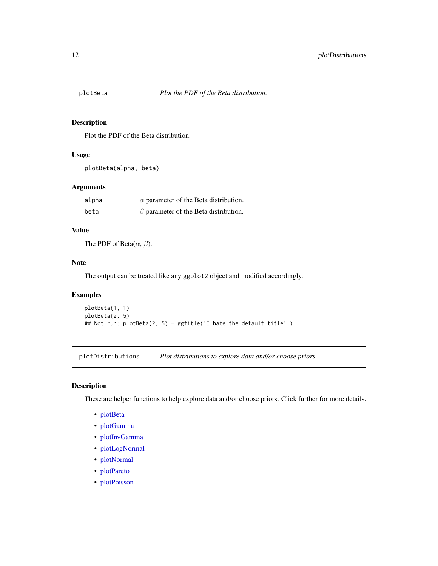<span id="page-11-2"></span><span id="page-11-0"></span>

#### Description

Plot the PDF of the Beta distribution.

#### Usage

```
plotBeta(alpha, beta)
```
#### Arguments

| alpha | $\alpha$ parameter of the Beta distribution. |  |
|-------|----------------------------------------------|--|
| beta  | $\beta$ parameter of the Beta distribution.  |  |

#### Value

The PDF of Beta $(\alpha, \beta)$ .

#### Note

The output can be treated like any ggplot2 object and modified accordingly.

#### Examples

```
plotBeta(1, 1)
plotBeta(2, 5)
## Not run: plotBeta(2, 5) + ggtitle('I hate the default title!')
```
<span id="page-11-1"></span>plotDistributions *Plot distributions to explore data and/or choose priors.*

#### Description

These are helper functions to help explore data and/or choose priors. Click further for more details.

- [plotBeta](#page-11-2)
- [plotGamma](#page-12-1)
- [plotInvGamma](#page-13-1)
- [plotLogNormal](#page-14-1)
- [plotNormal](#page-14-2)
- [plotPareto](#page-16-1)
- [plotPoisson](#page-16-2)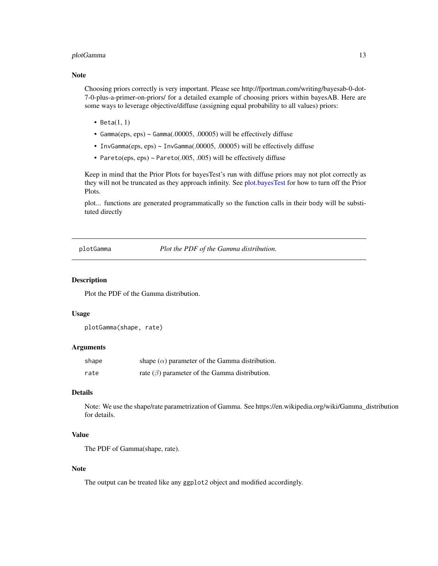#### <span id="page-12-0"></span>plotGamma 13

#### Note

Choosing priors correctly is very important. Please see http://fportman.com/writing/bayesab-0-dot-7-0-plus-a-primer-on-priors/ for a detailed example of choosing priors within bayesAB. Here are some ways to leverage objective/diffuse (assigning equal probability to all values) priors:

- Beta $(1, 1)$
- Gamma(eps, eps) ~ Gamma(.00005, .00005) will be effectively diffuse
- InvGamma(eps, eps) ~ InvGamma(.00005, .00005) will be effectively diffuse
- Pareto(eps, eps)  $\sim$  Pareto(.005, .005) will be effectively diffuse

Keep in mind that the Prior Plots for bayesTest's run with diffuse priors may not plot correctly as they will not be truncated as they approach infinity. See [plot.bayesTest](#page-10-1) for how to turn off the Prior Plots.

plot... functions are generated programmatically so the function calls in their body will be substituted directly

<span id="page-12-1"></span>plotGamma *Plot the PDF of the Gamma distribution.*

#### Description

Plot the PDF of the Gamma distribution.

#### Usage

```
plotGamma(shape, rate)
```
#### Arguments

| shape | shape $(\alpha)$ parameter of the Gamma distribution. |
|-------|-------------------------------------------------------|
| rate  | rate $(\beta)$ parameter of the Gamma distribution.   |

#### Details

Note: We use the shape/rate parametrization of Gamma. See https://en.wikipedia.org/wiki/Gamma\_distribution for details.

#### Value

The PDF of Gamma(shape, rate).

#### Note

The output can be treated like any ggplot2 object and modified accordingly.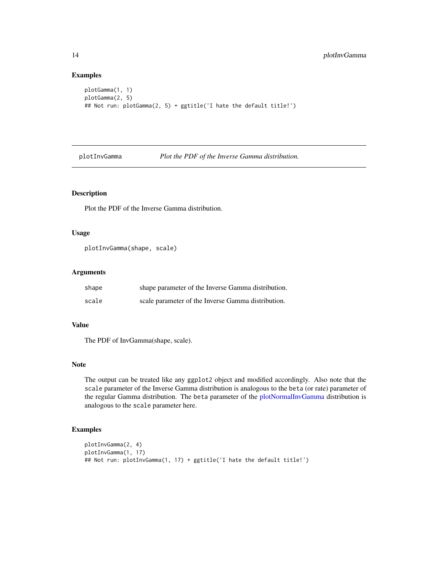#### Examples

```
plotGamma(1, 1)
plotGamma(2, 5)
## Not run: plotGamma(2, 5) + ggtitle('I hate the default title!')
```
<span id="page-13-1"></span>plotInvGamma *Plot the PDF of the Inverse Gamma distribution.*

#### Description

Plot the PDF of the Inverse Gamma distribution.

#### Usage

```
plotInvGamma(shape, scale)
```
#### Arguments

| shape | shape parameter of the Inverse Gamma distribution. |
|-------|----------------------------------------------------|
| scale | scale parameter of the Inverse Gamma distribution. |

#### Value

The PDF of InvGamma(shape, scale).

#### Note

The output can be treated like any ggplot2 object and modified accordingly. Also note that the scale parameter of the Inverse Gamma distribution is analogous to the beta (or rate) parameter of the regular Gamma distribution. The beta parameter of the [plotNormalInvGamma](#page-15-1) distribution is analogous to the scale parameter here.

#### Examples

```
plotInvGamma(2, 4)
plotInvGamma(1, 17)
## Not run: plotInvGamma(1, 17) + ggtitle('I hate the default title!')
```
<span id="page-13-0"></span>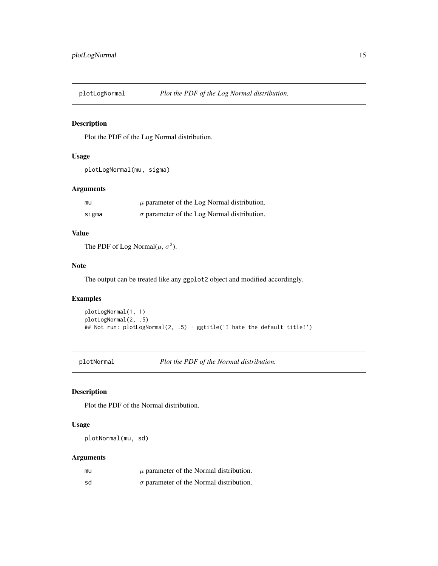<span id="page-14-1"></span><span id="page-14-0"></span>

#### Description

Plot the PDF of the Log Normal distribution.

#### Usage

```
plotLogNormal(mu, sigma)
```
#### Arguments

| mu    | $\mu$ parameter of the Log Normal distribution.    |
|-------|----------------------------------------------------|
| sigma | $\sigma$ parameter of the Log Normal distribution. |

#### Value

The PDF of Log Normal $(\mu, \sigma^2)$ .

#### Note

The output can be treated like any ggplot2 object and modified accordingly.

#### Examples

```
plotLogNormal(1, 1)
plotLogNormal(2, .5)
## Not run: plotLogNormal(2, .5) + ggtitle('I hate the default title!')
```
<span id="page-14-2"></span>plotNormal *Plot the PDF of the Normal distribution.*

#### Description

Plot the PDF of the Normal distribution.

#### Usage

plotNormal(mu, sd)

#### Arguments

| mu | $\mu$ parameter of the Normal distribution.    |
|----|------------------------------------------------|
| sd | $\sigma$ parameter of the Normal distribution. |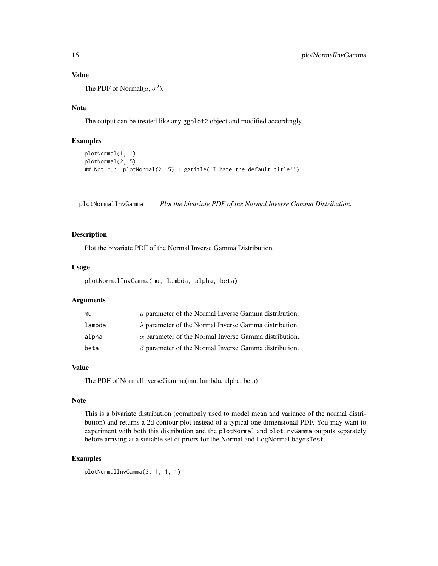#### Value

The PDF of Normal $(\mu, \sigma^2)$ .

### Note

The output can be treated like any ggplot2 object and modified accordingly.

#### Examples

```
plotNormal(1, 1)
plotNormal(2, 5)
## Not run: plotNormal(2, 5) + ggtitle('I hate the default title!')
```
<span id="page-15-1"></span>plotNormalInvGamma *Plot the bivariate PDF of the Normal Inverse Gamma Distribution.*

#### Description

Plot the bivariate PDF of the Normal Inverse Gamma Distribution.

#### Usage

plotNormalInvGamma(mu, lambda, alpha, beta)

#### Arguments

| mu     | $\mu$ parameter of the Normal Inverse Gamma distribution.     |
|--------|---------------------------------------------------------------|
| lambda | $\lambda$ parameter of the Normal Inverse Gamma distribution. |
| alpha  | $\alpha$ parameter of the Normal Inverse Gamma distribution.  |
| beta   | $\beta$ parameter of the Normal Inverse Gamma distribution.   |

#### Value

The PDF of NormalInverseGamma(mu, lambda, alpha, beta)

#### Note

This is a bivariate distribution (commonly used to model mean and variance of the normal distribution) and returns a 2d contour plot instead of a typical one dimensional PDF. You may want to experiment with both this distribution and the plotNormal and plotInvGamma outputs separately before arriving at a suitable set of priors for the Normal and LogNormal bayesTest.

#### Examples

plotNormalInvGamma(3, 1, 1, 1)

<span id="page-15-0"></span>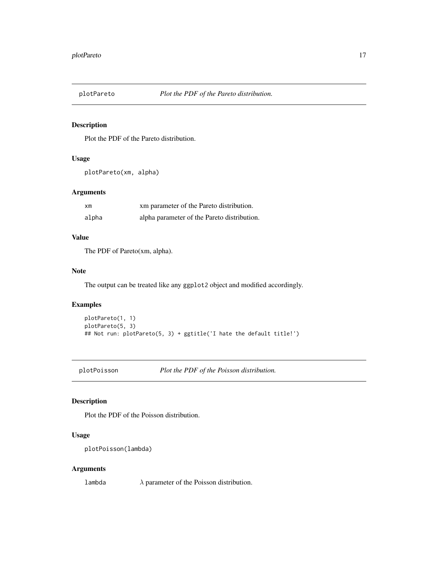<span id="page-16-1"></span><span id="page-16-0"></span>

#### Description

Plot the PDF of the Pareto distribution.

#### Usage

```
plotPareto(xm, alpha)
```
#### Arguments

| $\times m$ | xm parameter of the Pareto distribution.    |
|------------|---------------------------------------------|
| alpha      | alpha parameter of the Pareto distribution. |

#### Value

The PDF of Pareto(xm, alpha).

#### Note

The output can be treated like any ggplot2 object and modified accordingly.

#### Examples

```
plotPareto(1, 1)
plotPareto(5, 3)
## Not run: plotPareto(5, 3) + ggtitle('I hate the default title!')
```
<span id="page-16-2"></span>plotPoisson *Plot the PDF of the Poisson distribution.*

### Description

Plot the PDF of the Poisson distribution.

#### Usage

```
plotPoisson(lambda)
```
#### Arguments

lambda  $\lambda$  parameter of the Poisson distribution.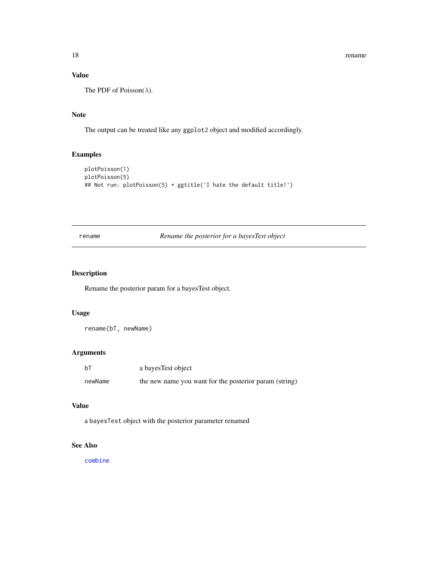#### Value

The PDF of Poisson( $\lambda$ ).

#### Note

The output can be treated like any ggplot2 object and modified accordingly.

#### Examples

```
plotPoisson(1)
plotPoisson(5)
## Not run: plotPoisson(5) + ggtitle('I hate the default title!')
```
#### rename *Rename the posterior for a bayesTest object*

#### Description

Rename the posterior param for a bayesTest object.

#### Usage

rename(bT, newName)

#### Arguments

| bT      | a bayes Test object                                    |
|---------|--------------------------------------------------------|
| newName | the new name you want for the posterior param (string) |

#### Value

a bayesTest object with the posterior parameter renamed

#### See Also

[combine](#page-7-1)

<span id="page-17-0"></span>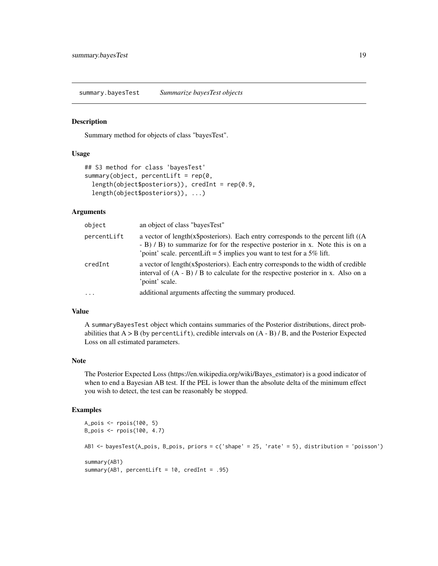<span id="page-18-1"></span><span id="page-18-0"></span>summary.bayesTest *Summarize bayesTest objects*

#### Description

Summary method for objects of class "bayesTest".

#### Usage

```
## S3 method for class 'bayesTest'
summary(object, percentLift = rep(0,length(object$posteriors)), credInt = rep(0.9,
  length(object$posteriors)), ...)
```
#### Arguments

| object      | an object of class "bayes Test"                                                                                                                                                                                                                  |
|-------------|--------------------------------------------------------------------------------------------------------------------------------------------------------------------------------------------------------------------------------------------------|
| percentLift | a vector of length(x\$posteriors). Each entry corresponds to the percent lift $((A$<br>- B) / B) to summarize for for the respective posterior in x. Note this is on a<br>'point' scale. percentLift = 5 implies you want to test for a 5% lift. |
| credInt     | a vector of length(x\$posteriors). Each entry corresponds to the width of credible<br>interval of $(A - B)$ / B to calculate for the respective posterior in x. Also on a<br>'point' scale.                                                      |
| $\cdots$    | additional arguments affecting the summary produced.                                                                                                                                                                                             |

#### Value

A summaryBayesTest object which contains summaries of the Posterior distributions, direct probabilities that  $A > B$  (by percent Lift), credible intervals on  $(A - B) / B$ , and the Posterior Expected Loss on all estimated parameters.

#### Note

The Posterior Expected Loss (https://en.wikipedia.org/wiki/Bayes\_estimator) is a good indicator of when to end a Bayesian AB test. If the PEL is lower than the absolute delta of the minimum effect you wish to detect, the test can be reasonably be stopped.

#### Examples

```
A_pois <- rpois(100, 5)
B_pois <- rpois(100, 4.7)
AB1 <- bayesTest(A_pois, B_pois, priors = c('shape' = 25, 'rate' = 5), distribution = 'poisson')
summary(AB1)
summary(AB1, percentLift = 10, credInt = .95)
```